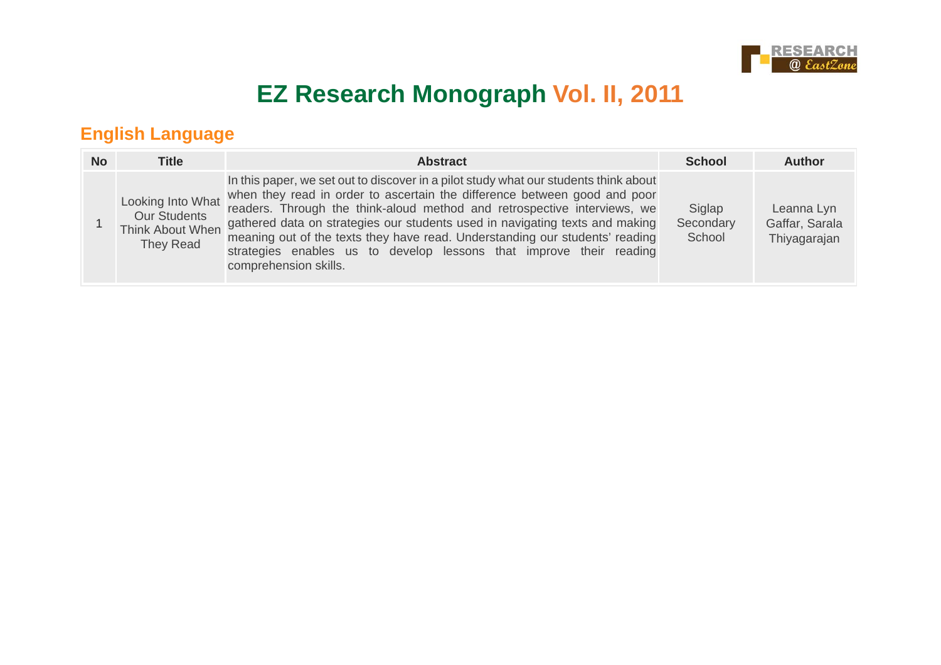

# **EZ Research Monograph Vol. II, 2011**

#### **English Language**

| <b>No</b> | <b>Title</b>                     | <b>Abstract</b>                                                                                                                                                                                                                                                                                                                                                                                                                                                                                                                                  | <b>School</b>                 | <b>Author</b>                                |
|-----------|----------------------------------|--------------------------------------------------------------------------------------------------------------------------------------------------------------------------------------------------------------------------------------------------------------------------------------------------------------------------------------------------------------------------------------------------------------------------------------------------------------------------------------------------------------------------------------------------|-------------------------------|----------------------------------------------|
|           | <b>Our Students</b><br>They Read | In this paper, we set out to discover in a pilot study what our students think about<br>Looking Into What when they read in order to ascertain the difference between good and poor<br>readers. Through the think-aloud method and retrospective interviews, we<br>Think About When gathered data on strategies our students used in navigating texts and making<br>meaning out of the texts they have read. Understanding our students' reading<br>strategies enables us to develop lessons that improve their reading<br>comprehension skills. | Siglap<br>Secondary<br>School | Leanna Lyn<br>Gaffar, Sarala<br>Thiyagarajan |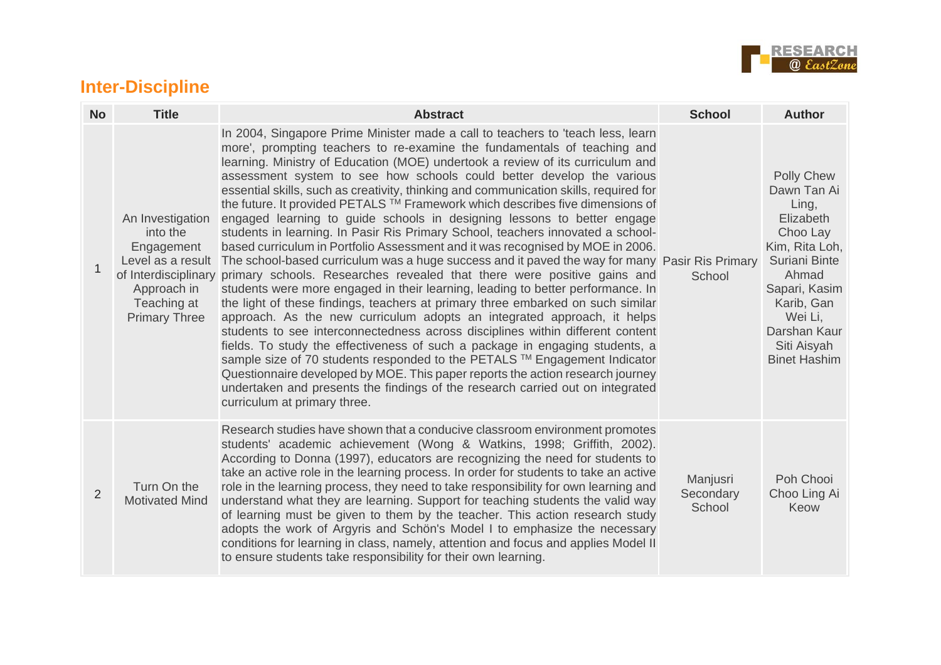

#### **Inter-Discipline**

| <b>No</b>      | <b>Title</b>                                                                                                          | <b>Abstract</b>                                                                                                                                                                                                                                                                                                                                                                                                                                                                                                                                                                                                                                                                                                                                                                                                                                                                                                                                                                                                                                                                                                                                                                                                                                                                                                                                                                                                                                                                                                                                                                                                                                        | <b>School</b>                   | <b>Author</b>                                                                                                                                                                                                  |
|----------------|-----------------------------------------------------------------------------------------------------------------------|--------------------------------------------------------------------------------------------------------------------------------------------------------------------------------------------------------------------------------------------------------------------------------------------------------------------------------------------------------------------------------------------------------------------------------------------------------------------------------------------------------------------------------------------------------------------------------------------------------------------------------------------------------------------------------------------------------------------------------------------------------------------------------------------------------------------------------------------------------------------------------------------------------------------------------------------------------------------------------------------------------------------------------------------------------------------------------------------------------------------------------------------------------------------------------------------------------------------------------------------------------------------------------------------------------------------------------------------------------------------------------------------------------------------------------------------------------------------------------------------------------------------------------------------------------------------------------------------------------------------------------------------------------|---------------------------------|----------------------------------------------------------------------------------------------------------------------------------------------------------------------------------------------------------------|
|                | An Investigation<br>into the<br>Engagement<br>Level as a result<br>Approach in<br>Teaching at<br><b>Primary Three</b> | In 2004, Singapore Prime Minister made a call to teachers to 'teach less, learn<br>more', prompting teachers to re-examine the fundamentals of teaching and<br>learning. Ministry of Education (MOE) undertook a review of its curriculum and<br>assessment system to see how schools could better develop the various<br>essential skills, such as creativity, thinking and communication skills, required for<br>the future. It provided PETALS ™ Framework which describes five dimensions of<br>engaged learning to guide schools in designing lessons to better engage<br>students in learning. In Pasir Ris Primary School, teachers innovated a school-<br>based curriculum in Portfolio Assessment and it was recognised by MOE in 2006.<br>The school-based curriculum was a huge success and it paved the way for many Pasir Ris Primary<br>of Interdisciplinary primary schools. Researches revealed that there were positive gains and<br>students were more engaged in their learning, leading to better performance. In<br>the light of these findings, teachers at primary three embarked on such similar<br>approach. As the new curriculum adopts an integrated approach, it helps<br>students to see interconnectedness across disciplines within different content<br>fields. To study the effectiveness of such a package in engaging students, a<br>sample size of 70 students responded to the PETALS ™ Engagement Indicator<br>Questionnaire developed by MOE. This paper reports the action research journey<br>undertaken and presents the findings of the research carried out on integrated<br>curriculum at primary three. | School                          | <b>Polly Chew</b><br>Dawn Tan Ai<br>Ling,<br>Elizabeth<br>Choo Lay<br>Kim, Rita Loh,<br>Suriani Binte<br>Ahmad<br>Sapari, Kasim<br>Karib, Gan<br>Wei Li,<br>Darshan Kaur<br>Siti Aisyah<br><b>Binet Hashim</b> |
| $\overline{2}$ | Turn On the<br><b>Motivated Mind</b>                                                                                  | Research studies have shown that a conducive classroom environment promotes<br>students' academic achievement (Wong & Watkins, 1998; Griffith, 2002).<br>According to Donna (1997), educators are recognizing the need for students to<br>take an active role in the learning process. In order for students to take an active<br>role in the learning process, they need to take responsibility for own learning and<br>understand what they are learning. Support for teaching students the valid way<br>of learning must be given to them by the teacher. This action research study<br>adopts the work of Argyris and Schön's Model I to emphasize the necessary<br>conditions for learning in class, namely, attention and focus and applies Model II<br>to ensure students take responsibility for their own learning.                                                                                                                                                                                                                                                                                                                                                                                                                                                                                                                                                                                                                                                                                                                                                                                                                           | Manjusri<br>Secondary<br>School | Poh Chooi<br>Choo Ling Ai<br>Keow                                                                                                                                                                              |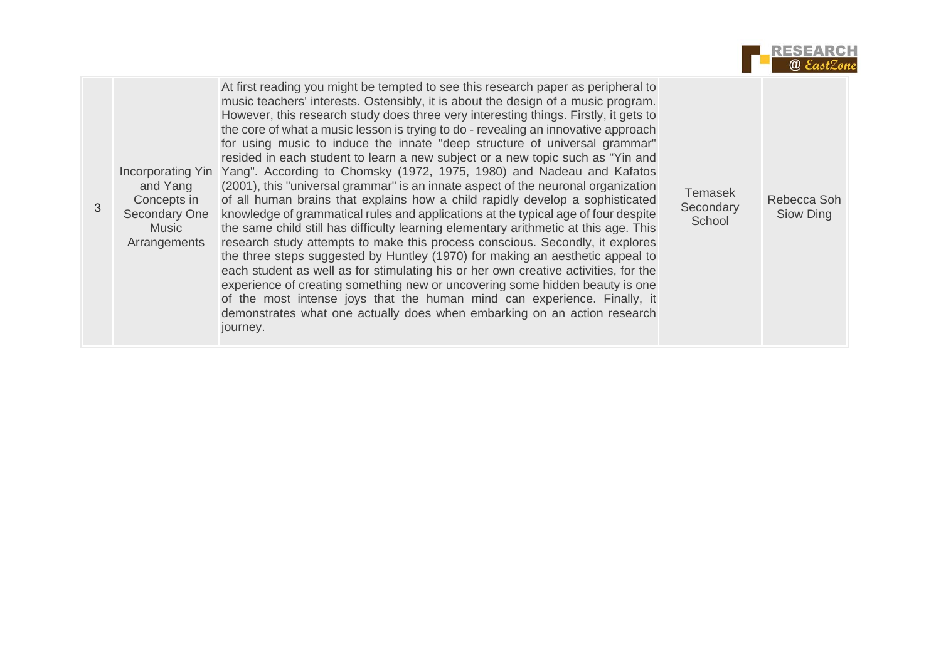

|  | and Yang<br>Concepts in<br>Secondary One<br>Music<br>Arrangements | At first reading you might be tempted to see this research paper as peripheral to<br>music teachers' interests. Ostensibly, it is about the design of a music program.<br>However, this research study does three very interesting things. Firstly, it gets to<br>the core of what a music lesson is trying to do - revealing an innovative approach<br>for using music to induce the innate "deep structure of universal grammar"<br>resided in each student to learn a new subject or a new topic such as "Yin and<br>Incorporating Yin Yang". According to Chomsky (1972, 1975, 1980) and Nadeau and Kafatos<br>(2001), this "universal grammar" is an innate aspect of the neuronal organization<br>of all human brains that explains how a child rapidly develop a sophisticated<br>knowledge of grammatical rules and applications at the typical age of four despite<br>the same child still has difficulty learning elementary arithmetic at this age. This<br>research study attempts to make this process conscious. Secondly, it explores<br>the three steps suggested by Huntley (1970) for making an aesthetic appeal to<br>each student as well as for stimulating his or her own creative activities, for the<br>experience of creating something new or uncovering some hidden beauty is one<br>of the most intense joys that the human mind can experience. Finally, it<br>demonstrates what one actually does when embarking on an action research<br>journey. | Temasek<br>Secondary<br>School | Rebecca Soh<br>Siow Ding |  |
|--|-------------------------------------------------------------------|----------------------------------------------------------------------------------------------------------------------------------------------------------------------------------------------------------------------------------------------------------------------------------------------------------------------------------------------------------------------------------------------------------------------------------------------------------------------------------------------------------------------------------------------------------------------------------------------------------------------------------------------------------------------------------------------------------------------------------------------------------------------------------------------------------------------------------------------------------------------------------------------------------------------------------------------------------------------------------------------------------------------------------------------------------------------------------------------------------------------------------------------------------------------------------------------------------------------------------------------------------------------------------------------------------------------------------------------------------------------------------------------------------------------------------------------------------------------------------|--------------------------------|--------------------------|--|
|--|-------------------------------------------------------------------|----------------------------------------------------------------------------------------------------------------------------------------------------------------------------------------------------------------------------------------------------------------------------------------------------------------------------------------------------------------------------------------------------------------------------------------------------------------------------------------------------------------------------------------------------------------------------------------------------------------------------------------------------------------------------------------------------------------------------------------------------------------------------------------------------------------------------------------------------------------------------------------------------------------------------------------------------------------------------------------------------------------------------------------------------------------------------------------------------------------------------------------------------------------------------------------------------------------------------------------------------------------------------------------------------------------------------------------------------------------------------------------------------------------------------------------------------------------------------------|--------------------------------|--------------------------|--|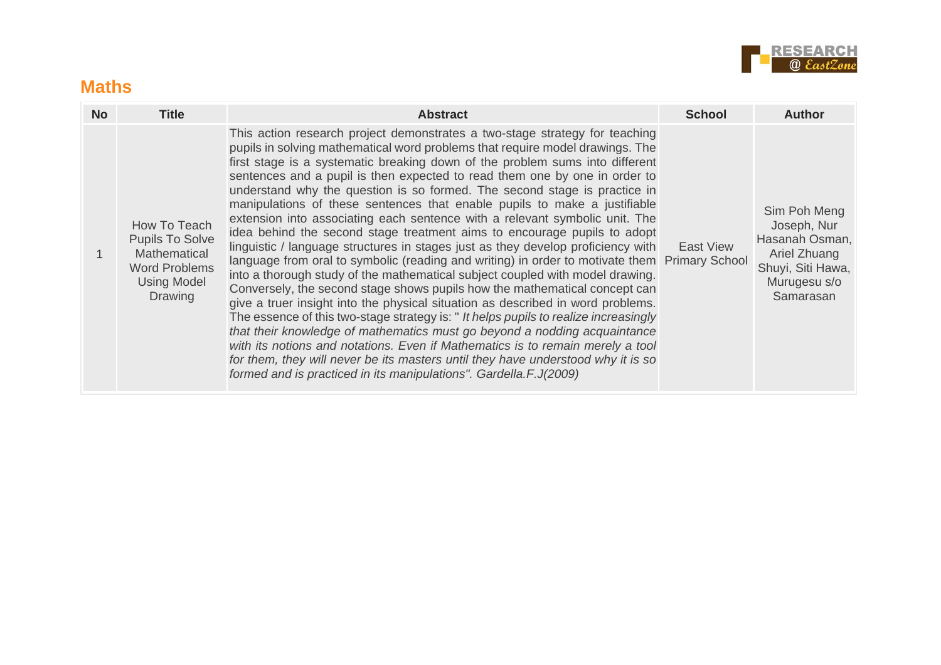

#### **Maths**

| <b>No</b> | <b>Title</b>                                                                                                    | <b>Abstract</b>                                                                                                                                                                                                                                                                                                                                                                                                                                                                                                                                                                                                                                                                                                                                                                                                                                                                                                                                                                                                                                                                                                                                                                                                                                                                                                                                                                                                                                                                                        | <b>School</b> | Author                                                                                                          |
|-----------|-----------------------------------------------------------------------------------------------------------------|--------------------------------------------------------------------------------------------------------------------------------------------------------------------------------------------------------------------------------------------------------------------------------------------------------------------------------------------------------------------------------------------------------------------------------------------------------------------------------------------------------------------------------------------------------------------------------------------------------------------------------------------------------------------------------------------------------------------------------------------------------------------------------------------------------------------------------------------------------------------------------------------------------------------------------------------------------------------------------------------------------------------------------------------------------------------------------------------------------------------------------------------------------------------------------------------------------------------------------------------------------------------------------------------------------------------------------------------------------------------------------------------------------------------------------------------------------------------------------------------------------|---------------|-----------------------------------------------------------------------------------------------------------------|
|           | How To Teach<br><b>Pupils To Solve</b><br>Mathematical<br><b>Word Problems</b><br><b>Using Model</b><br>Drawing | This action research project demonstrates a two-stage strategy for teaching<br>pupils in solving mathematical word problems that require model drawings. The<br>first stage is a systematic breaking down of the problem sums into different<br>sentences and a pupil is then expected to read them one by one in order to<br>understand why the question is so formed. The second stage is practice in<br>manipulations of these sentences that enable pupils to make a justifiable<br>extension into associating each sentence with a relevant symbolic unit. The<br>idea behind the second stage treatment aims to encourage pupils to adopt<br>linguistic / language structures in stages just as they develop proficiency with<br>language from oral to symbolic (reading and writing) in order to motivate them Primary School<br>into a thorough study of the mathematical subject coupled with model drawing.<br>Conversely, the second stage shows pupils how the mathematical concept can<br>give a truer insight into the physical situation as described in word problems.<br>The essence of this two-stage strategy is: " It helps pupils to realize increasingly<br>that their knowledge of mathematics must go beyond a nodding acquaintance<br>with its notions and notations. Even if Mathematics is to remain merely a tool<br>for them, they will never be its masters until they have understood why it is so<br>formed and is practiced in its manipulations". Gardella.F.J(2009) | East View     | Sim Poh Meng<br>Joseph, Nur<br>Hasanah Osman,<br>Ariel Zhuang<br>Shuyi, Siti Hawa,<br>Murugesu s/o<br>Samarasan |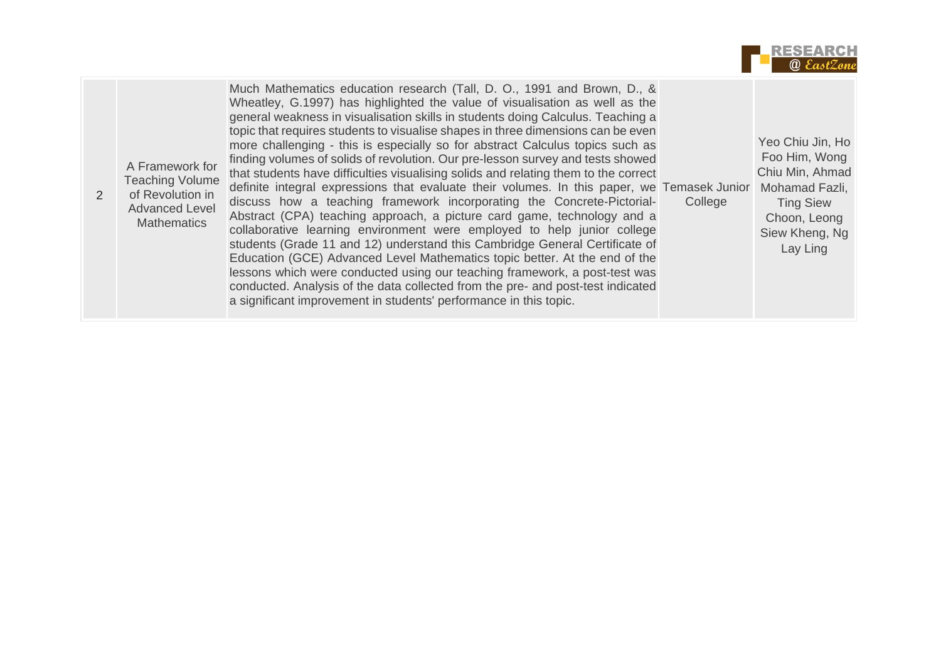

| A Framework for<br><b>Teaching Volume</b><br>of Revolution in<br><b>Advanced Level</b><br><b>Mathematics</b> | Much Mathematics education research (Tall, D. O., 1991 and Brown, D., &<br>Wheatley, G.1997) has highlighted the value of visualisation as well as the<br>general weakness in visualisation skills in students doing Calculus. Teaching a<br>topic that requires students to visualise shapes in three dimensions can be even<br>more challenging - this is especially so for abstract Calculus topics such as<br>finding volumes of solids of revolution. Our pre-lesson survey and tests showed<br>that students have difficulties visualising solids and relating them to the correct<br>definite integral expressions that evaluate their volumes. In this paper, we Temasek Junior<br>discuss how a teaching framework incorporating the Concrete-Pictorial-<br>Abstract (CPA) teaching approach, a picture card game, technology and a<br>collaborative learning environment were employed to help junior college<br>students (Grade 11 and 12) understand this Cambridge General Certificate of<br>Education (GCE) Advanced Level Mathematics topic better. At the end of the<br>lessons which were conducted using our teaching framework, a post-test was<br>conducted. Analysis of the data collected from the pre- and post-test indicated<br>a significant improvement in students' performance in this topic. | College | Yeo Chiu Jin, Ho<br>Foo Him, Wong<br>Chiu Min, Ahmad<br>Mohamad Fazli,<br><b>Ting Siew</b><br>Choon, Leong<br>Siew Kheng, Ng<br>Lay Ling |
|--------------------------------------------------------------------------------------------------------------|----------------------------------------------------------------------------------------------------------------------------------------------------------------------------------------------------------------------------------------------------------------------------------------------------------------------------------------------------------------------------------------------------------------------------------------------------------------------------------------------------------------------------------------------------------------------------------------------------------------------------------------------------------------------------------------------------------------------------------------------------------------------------------------------------------------------------------------------------------------------------------------------------------------------------------------------------------------------------------------------------------------------------------------------------------------------------------------------------------------------------------------------------------------------------------------------------------------------------------------------------------------------------------------------------------------------------|---------|------------------------------------------------------------------------------------------------------------------------------------------|
|--------------------------------------------------------------------------------------------------------------|----------------------------------------------------------------------------------------------------------------------------------------------------------------------------------------------------------------------------------------------------------------------------------------------------------------------------------------------------------------------------------------------------------------------------------------------------------------------------------------------------------------------------------------------------------------------------------------------------------------------------------------------------------------------------------------------------------------------------------------------------------------------------------------------------------------------------------------------------------------------------------------------------------------------------------------------------------------------------------------------------------------------------------------------------------------------------------------------------------------------------------------------------------------------------------------------------------------------------------------------------------------------------------------------------------------------------|---------|------------------------------------------------------------------------------------------------------------------------------------------|

2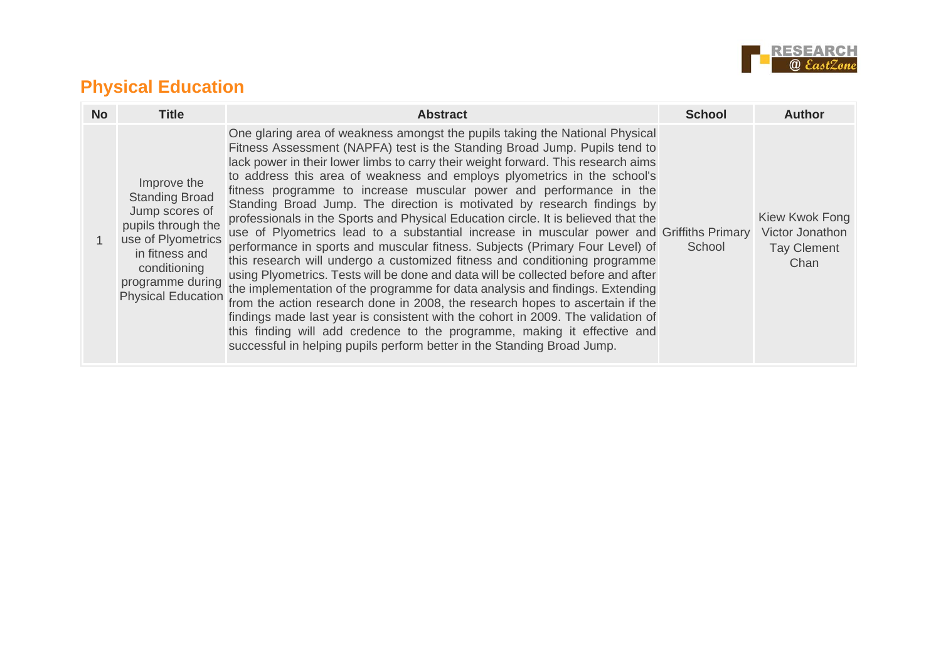

#### **Physical Education**

| <b>No</b> | <b>Title</b>                                                                                                                                                                          | <b>Abstract</b>                                                                                                                                                                                                                                                                                                                                                                                                                                                                                                                                                                                                                                                                                                                                                                                                                                                                                                                                                                                                                                                                                                                                                                                                                                                                                                                  | <b>School</b> | <b>Author</b>                                                   |
|-----------|---------------------------------------------------------------------------------------------------------------------------------------------------------------------------------------|----------------------------------------------------------------------------------------------------------------------------------------------------------------------------------------------------------------------------------------------------------------------------------------------------------------------------------------------------------------------------------------------------------------------------------------------------------------------------------------------------------------------------------------------------------------------------------------------------------------------------------------------------------------------------------------------------------------------------------------------------------------------------------------------------------------------------------------------------------------------------------------------------------------------------------------------------------------------------------------------------------------------------------------------------------------------------------------------------------------------------------------------------------------------------------------------------------------------------------------------------------------------------------------------------------------------------------|---------------|-----------------------------------------------------------------|
|           | Improve the<br><b>Standing Broad</b><br>Jump scores of<br>pupils through the<br>use of Plyometrics<br>in fitness and<br>conditioning<br>programme during<br><b>Physical Education</b> | One glaring area of weakness amongst the pupils taking the National Physical<br>Fitness Assessment (NAPFA) test is the Standing Broad Jump. Pupils tend to<br>lack power in their lower limbs to carry their weight forward. This research aims<br>to address this area of weakness and employs plyometrics in the school's<br>fitness programme to increase muscular power and performance in the<br>Standing Broad Jump. The direction is motivated by research findings by<br>professionals in the Sports and Physical Education circle. It is believed that the<br>use of Plyometrics lead to a substantial increase in muscular power and Griffiths Primary<br>performance in sports and muscular fitness. Subjects (Primary Four Level) of<br>this research will undergo a customized fitness and conditioning programme<br>using Plyometrics. Tests will be done and data will be collected before and after<br>the implementation of the programme for data analysis and findings. Extending<br>from the action research done in 2008, the research hopes to ascertain if the<br>findings made last year is consistent with the cohort in 2009. The validation of<br>this finding will add credence to the programme, making it effective and<br>successful in helping pupils perform better in the Standing Broad Jump. | School        | Kiew Kwok Fong<br>Victor Jonathon<br><b>Tay Clement</b><br>Chan |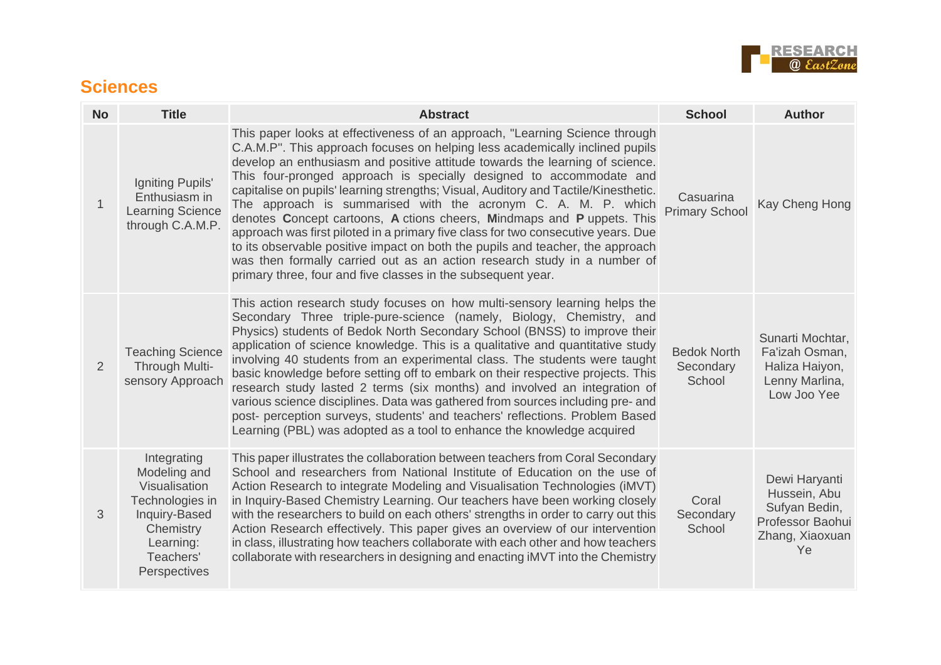

#### **Sciences**

| <b>No</b>   | <b>Title</b>                                                                                                                            | <b>Abstract</b>                                                                                                                                                                                                                                                                                                                                                                                                                                                                                                                                                                                                                                                                                                                                                                                                                                                         | <b>School</b>                             | <b>Author</b>                                                                               |
|-------------|-----------------------------------------------------------------------------------------------------------------------------------------|-------------------------------------------------------------------------------------------------------------------------------------------------------------------------------------------------------------------------------------------------------------------------------------------------------------------------------------------------------------------------------------------------------------------------------------------------------------------------------------------------------------------------------------------------------------------------------------------------------------------------------------------------------------------------------------------------------------------------------------------------------------------------------------------------------------------------------------------------------------------------|-------------------------------------------|---------------------------------------------------------------------------------------------|
| $\mathbf 1$ | Igniting Pupils'<br>Enthusiasm in<br><b>Learning Science</b><br>through C.A.M.P.                                                        | This paper looks at effectiveness of an approach, "Learning Science through<br>C.A.M.P". This approach focuses on helping less academically inclined pupils<br>develop an enthusiasm and positive attitude towards the learning of science.<br>This four-pronged approach is specially designed to accommodate and<br>capitalise on pupils' learning strengths; Visual, Auditory and Tactile/Kinesthetic.<br>The approach is summarised with the acronym C. A. M. P. which<br>denotes Concept cartoons, A ctions cheers, Mindmaps and P uppets. This<br>approach was first piloted in a primary five class for two consecutive years. Due<br>to its observable positive impact on both the pupils and teacher, the approach<br>was then formally carried out as an action research study in a number of<br>primary three, four and five classes in the subsequent year. | Casuarina<br><b>Primary School</b>        | Kay Cheng Hong                                                                              |
| 2           | <b>Teaching Science</b><br>Through Multi-<br>sensory Approach                                                                           | This action research study focuses on how multi-sensory learning helps the<br>Secondary Three triple-pure-science (namely, Biology, Chemistry, and<br>Physics) students of Bedok North Secondary School (BNSS) to improve their<br>application of science knowledge. This is a qualitative and quantitative study<br>involving 40 students from an experimental class. The students were taught<br>basic knowledge before setting off to embark on their respective projects. This<br>research study lasted 2 terms (six months) and involved an integration of<br>various science disciplines. Data was gathered from sources including pre- and<br>post- perception surveys, students' and teachers' reflections. Problem Based<br>Learning (PBL) was adopted as a tool to enhance the knowledge acquired                                                             | <b>Bedok North</b><br>Secondary<br>School | Sunarti Mochtar,<br>Fa'izah Osman,<br>Haliza Haiyon,<br>Lenny Marlina,<br>Low Joo Yee       |
| 3           | Integrating<br>Modeling and<br>Visualisation<br>Technologies in<br>Inquiry-Based<br>Chemistry<br>Learning:<br>Teachers'<br>Perspectives | This paper illustrates the collaboration between teachers from Coral Secondary<br>School and researchers from National Institute of Education on the use of<br>Action Research to integrate Modeling and Visualisation Technologies (iMVT)<br>in Inquiry-Based Chemistry Learning. Our teachers have been working closely<br>with the researchers to build on each others' strengths in order to carry out this<br>Action Research effectively. This paper gives an overview of our intervention<br>in class, illustrating how teachers collaborate with each other and how teachers<br>collaborate with researchers in designing and enacting iMVT into the Chemistry                                                                                                                                                                                                  | Coral<br>Secondary<br>School              | Dewi Haryanti<br>Hussein, Abu<br>Sufyan Bedin,<br>Professor Baohui<br>Zhang, Xiaoxuan<br>Ye |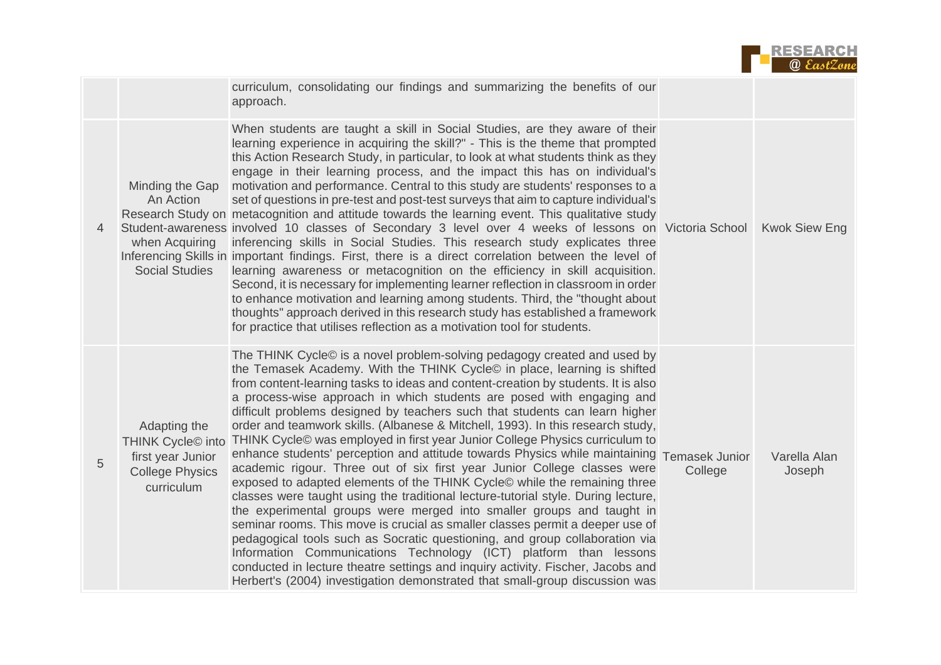

|   |                                                                                                            | curriculum, consolidating our findings and summarizing the benefits of our<br>approach.                                                                                                                                                                                                                                                                                                                                                                                                                                                                                                                                                                                                                                                                                                                                                                                                                                                                                                                                                                                                                                                                                                                                                                                                                                                                                                          |         |                        |
|---|------------------------------------------------------------------------------------------------------------|--------------------------------------------------------------------------------------------------------------------------------------------------------------------------------------------------------------------------------------------------------------------------------------------------------------------------------------------------------------------------------------------------------------------------------------------------------------------------------------------------------------------------------------------------------------------------------------------------------------------------------------------------------------------------------------------------------------------------------------------------------------------------------------------------------------------------------------------------------------------------------------------------------------------------------------------------------------------------------------------------------------------------------------------------------------------------------------------------------------------------------------------------------------------------------------------------------------------------------------------------------------------------------------------------------------------------------------------------------------------------------------------------|---------|------------------------|
| 4 | Minding the Gap<br>An Action<br>when Acquiring<br><b>Social Studies</b>                                    | When students are taught a skill in Social Studies, are they aware of their<br>learning experience in acquiring the skill?" - This is the theme that prompted<br>this Action Research Study, in particular, to look at what students think as they<br>engage in their learning process, and the impact this has on individual's<br>motivation and performance. Central to this study are students' responses to a<br>set of questions in pre-test and post-test surveys that aim to capture individual's<br>Research Study on metacognition and attitude towards the learning event. This qualitative study<br>Student-awareness involved 10 classes of Secondary 3 level over 4 weeks of lessons on Victoria School<br>inferencing skills in Social Studies. This research study explicates three<br>Inferencing Skills in important findings. First, there is a direct correlation between the level of<br>learning awareness or metacognition on the efficiency in skill acquisition.<br>Second, it is necessary for implementing learner reflection in classroom in order<br>to enhance motivation and learning among students. Third, the "thought about<br>thoughts" approach derived in this research study has established a framework<br>for practice that utilises reflection as a motivation tool for students.                                                                       |         | <b>Kwok Siew Eng</b>   |
| 5 | Adapting the<br>THINK Cycle <sup>C</sup> into<br>first year Junior<br><b>College Physics</b><br>curriculum | The THINK Cycle© is a novel problem-solving pedagogy created and used by<br>the Temasek Academy. With the THINK Cycle© in place, learning is shifted<br>from content-learning tasks to ideas and content-creation by students. It is also<br>a process-wise approach in which students are posed with engaging and<br>difficult problems designed by teachers such that students can learn higher<br>order and teamwork skills. (Albanese & Mitchell, 1993). In this research study,<br>THINK Cycle© was employed in first year Junior College Physics curriculum to<br>enhance students' perception and attitude towards Physics while maintaining Temasek Junior<br>academic rigour. Three out of six first year Junior College classes were<br>exposed to adapted elements of the THINK Cycle© while the remaining three<br>classes were taught using the traditional lecture-tutorial style. During lecture,<br>the experimental groups were merged into smaller groups and taught in<br>seminar rooms. This move is crucial as smaller classes permit a deeper use of<br>pedagogical tools such as Socratic questioning, and group collaboration via<br>Information Communications Technology (ICT) platform than lessons<br>conducted in lecture theatre settings and inquiry activity. Fischer, Jacobs and<br>Herbert's (2004) investigation demonstrated that small-group discussion was | College | Varella Alan<br>Joseph |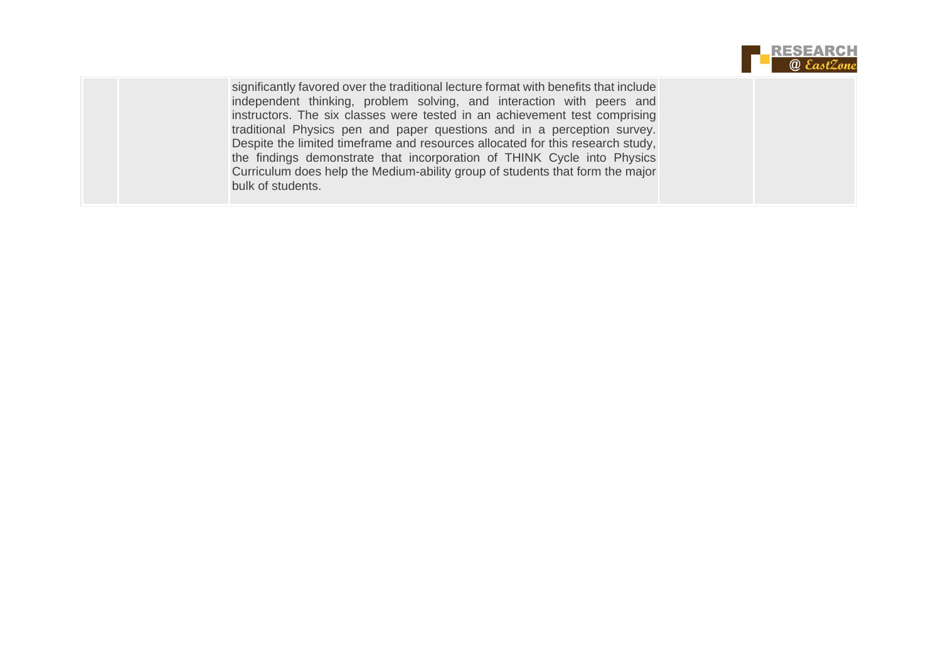

significantly favored over the traditional lecture format with benefits that include independent thinking, problem solving, and interaction with peers and instructors. The six classes were tested in an achievement test comprising traditional Physics pen and paper questions and in a perception survey. Despite the limited timeframe and resources allocated for this research study, the findings demonstrate that incorporation of THINK Cycle into Physics Curriculum does help the Medium-ability group of students that form the major bulk of students.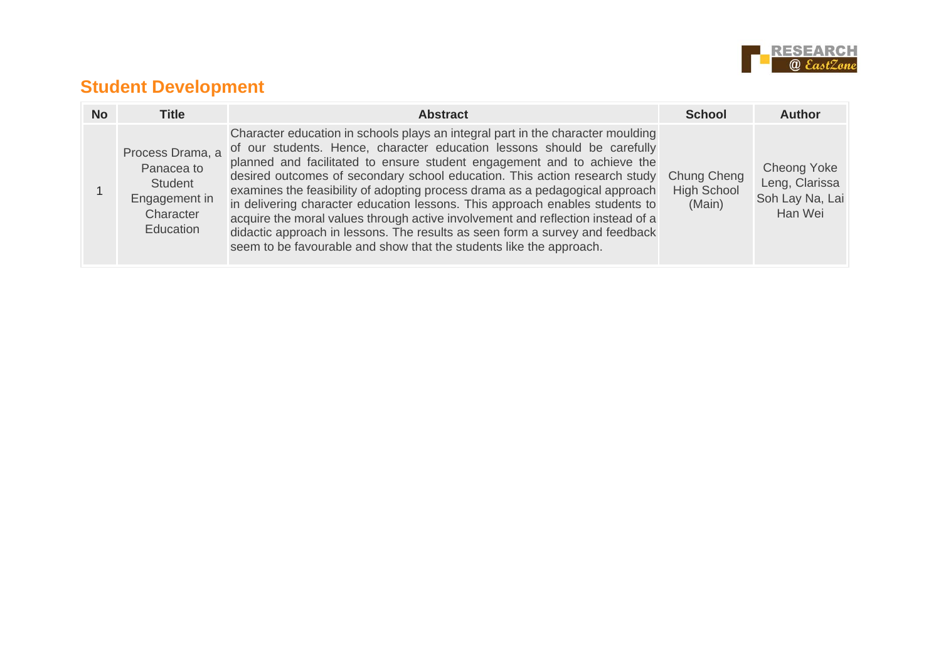

## **Student Development**

| <b>No</b> | <b>Title</b>                                                                         | <b>Abstract</b>                                                                                                                                                                                                                                                                                                                                                                                                                                                                                                                                                                                                                                                                                                                           | <b>School</b>                | <b>Author</b>                                                      |
|-----------|--------------------------------------------------------------------------------------|-------------------------------------------------------------------------------------------------------------------------------------------------------------------------------------------------------------------------------------------------------------------------------------------------------------------------------------------------------------------------------------------------------------------------------------------------------------------------------------------------------------------------------------------------------------------------------------------------------------------------------------------------------------------------------------------------------------------------------------------|------------------------------|--------------------------------------------------------------------|
|           | Process Drama, a<br>Panacea to<br>Student<br>Engagement in<br>Character<br>Education | Character education in schools plays an integral part in the character moulding<br>of our students. Hence, character education lessons should be carefully<br>planned and facilitated to ensure student engagement and to achieve the<br>desired outcomes of secondary school education. This action research study Chung Cheng<br>examines the feasibility of adopting process drama as a pedagogical approach<br>in delivering character education lessons. This approach enables students to<br>acquire the moral values through active involvement and reflection instead of a<br>didactic approach in lessons. The results as seen form a survey and feedback<br>seem to be favourable and show that the students like the approach. | <b>High School</b><br>(Main) | <b>Cheong Yoke</b><br>Leng, Clarissa<br>Soh Lay Na, Lai<br>Han Wei |